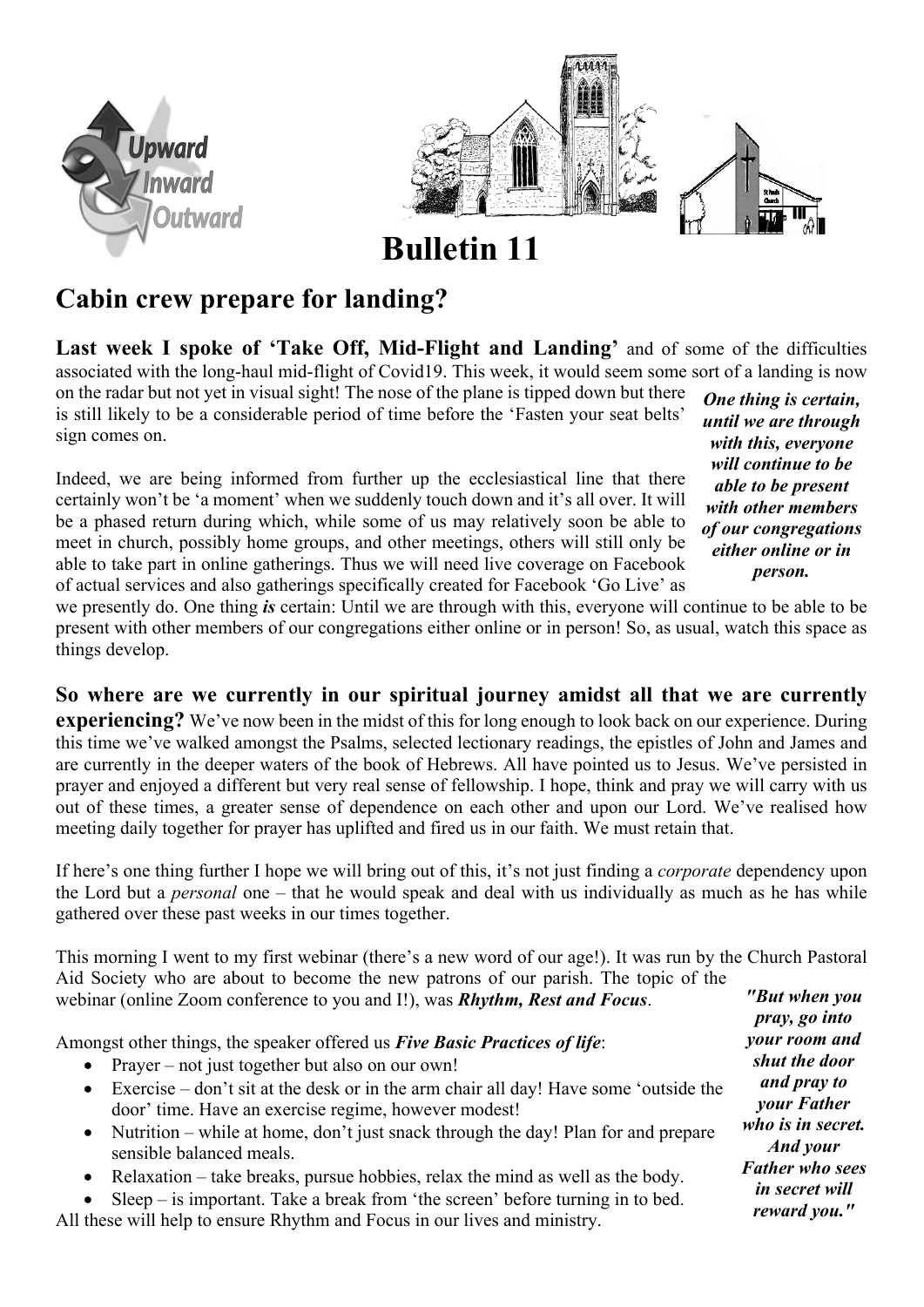



**Bulletin 11**

## **Cabin crew prepare for landing?**

**Last week I spoke of 'Take Off, Mid-Flight and Landing'** and of some of the difficulties associated with the long-haul mid-flight of Covid19. This week, it would seem some sort of a landing is now

on the radar but not yet in visual sight! The nose of the plane is tipped down but there is still likely to be a considerable period of time before the 'Fasten your seat belts' sign comes on.

Indeed, we are being informed from further up the ecclesiastical line that there certainly won't be 'a moment' when we suddenly touch down and it's all over. It will be a phased return during which, while some of us may relatively soon be able to meet in church, possibly home groups, and other meetings, others will still only be able to take part in online gatherings. Thus we will need live coverage on Facebook of actual services and also gatherings specifically created for Facebook 'Go Live' as

*One thing is certain, until we are through with this, everyone will continue to be able to be present with other members of our congregations either online or in person.*

we presently do. One thing *is* certain: Until we are through with this, everyone will continue to be able to be present with other members of our congregations either online or in person! So, as usual, watch this space as things develop.

**So where are we currently in our spiritual journey amidst all that we are currently** 

**experiencing?** We've now been in the midst of this for long enough to look back on our experience. During this time we've walked amongst the Psalms, selected lectionary readings, the epistles of John and James and are currently in the deeper waters of the book of Hebrews. All have pointed us to Jesus. We've persisted in prayer and enjoyed a different but very real sense of fellowship. I hope, think and pray we will carry with us out of these times, a greater sense of dependence on each other and upon our Lord. We've realised how meeting daily together for prayer has uplifted and fired us in our faith. We must retain that.

If here's one thing further I hope we will bring out of this, it's not just finding a *corporate* dependency upon the Lord but a *personal* one – that he would speak and deal with us individually as much as he has while gathered over these past weeks in our times together.

This morning I went to my first webinar (there's a new word of our age!). It was run by the Church Pastoral Aid Society who are about to become the new patrons of our parish. The topic of the webinar (online Zoom conference to you and I!), was *Rhythm, Rest and Focus*. *"But when you* 

Amongst other things, the speaker offered us *Five Basic Practices of life*:

- Prayer not just together but also on our own!
- Exercise don't sit at the desk or in the arm chair all day! Have some 'outside the door' time. Have an exercise regime, however modest!
- Nutrition while at home, don't just snack through the day! Plan for and prepare sensible balanced meals.
- Relaxation take breaks, pursue hobbies, relax the mind as well as the body.

 $Sleep - is important. Take a break from 'the screen' before turning in to bed.$ All these will help to ensure Rhythm and Focus in our lives and ministry.

*pray, go into your room and shut the door and pray to your Father who is in secret. And your Father who sees in secret will reward you."*